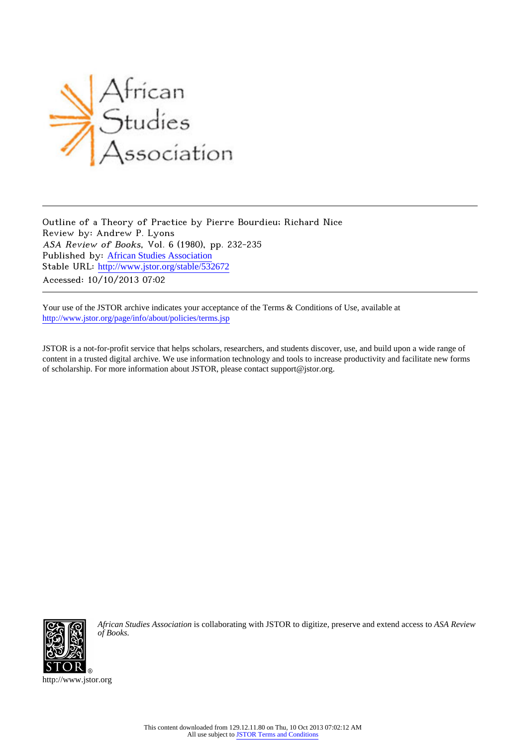

Outline of a Theory of Practice by Pierre Bourdieu; Richard Nice Review by: Andrew P. Lyons ASA Review of Books, Vol. 6 (1980), pp. 232-235 Published by: [African Studies Association](http://www.jstor.org/action/showPublisher?publisherCode=afsta) Stable URL: http://www.jstor.org/stable/532672 Accessed: 10/10/2013 07:02

Your use of the JSTOR archive indicates your acceptance of the Terms & Conditions of Use, available at <http://www.jstor.org/page/info/about/policies/terms.jsp>

JSTOR is a not-for-profit service that helps scholars, researchers, and students discover, use, and build upon a wide range of content in a trusted digital archive. We use information technology and tools to increase productivity and facilitate new forms of scholarship. For more information about JSTOR, please contact support@jstor.org.



*African Studies Association* is collaborating with JSTOR to digitize, preserve and extend access to *ASA Review of Books.*

http://www.jstor.org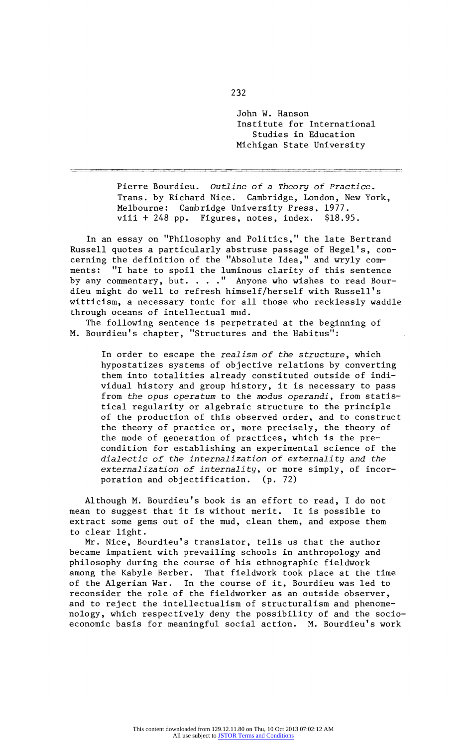**John W. Hanson Institute for International Studies in Education Michigan State University** 

**Pierre Bourdieu. Outline of a Theory of Practice, Trans. by Richard Nice. Cambridge, London, New York, Melbourne: Cambridge University Press, 1977. viii + 248 pp. Figures, notes, index. \$18.95.** 

**In an essay on "Philosophy and Politics," the late Bertrand**  Russell quotes a particularly abstruse passage of Hegel's, concerning the definition of the "Absolute Idea," and wryly com**ments: "I hate to spoil the luminous clarity of this sentence**  by any commentary, but. . . . " Anyone who wishes to read Bour**dieu might do well to refresh himself/herself with Russell's witticism, a necessary tonic for all those who recklessly waddle through oceans of intellectual mud.** 

**The following sentence is perpetrated at the beginning of M. Bourdieu's chapter, "Structures and the Habitus":** 

**In order to escape the realism of the structure, which hypostatizes systems of objective relations by converting them into totalities already constituted outside of indi? vidual history and group history, it is necessary to pass**  from the opus operatum to the modus operandi, from statis**tical regularity or algebraic structure to the principle of the production of this observed order, and to construct the theory of practice or, more precisely, the theory of the mode of generation of practices, which is the precondition for establishing an experimental science of the dialectic of the internalization of externality and the**  externalization of internality, or more simply, of incor**poration and objectification. (p. 72)** 

**Although M. Bourdieu's book is an effort to read, I do not mean to suggest that it is without merit. It is possible to extract some gems out of the mud, clean them, and expose them to clear light.** 

**Mr. Nice, Bourdieu's translator, tells us that the author became impatient with prevailing schools in anthropology and philosophy during the course of his ethnographic fieldwork among the Kabyle Berber. That fieldwork took place at the time of the Algerian War. In the course of it, Bourdieu was led to reconsider the role of the fieldworker as an outside observer, and to reject the intellectualism of structuralism and phenomenology, which respectively deny the possibility of and the socioeconomic basis for meaningful social action. M. Bourdieu's work**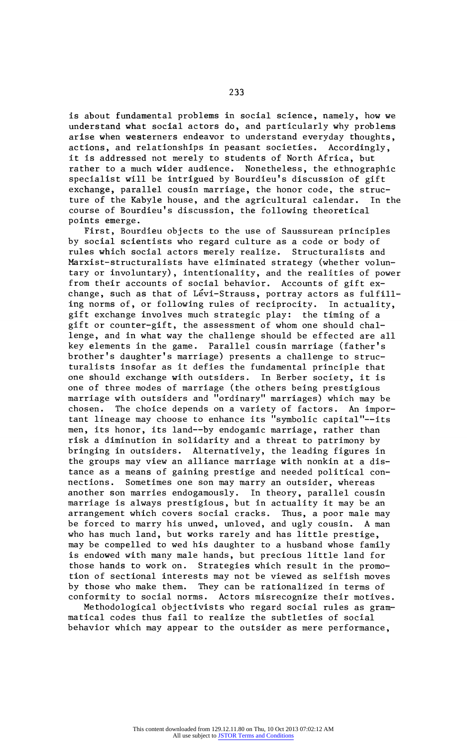**is about fundamental problems in social science, namely, how we understand what social actors do, and particularly why problems arise when westerners endeavor to understand everyday thoughts, actions, and relationships in peasant societies. Accordingly, it is addressed not merely to students of North Africa, but rather to a much wider audience. Nonetheless, the ethnographic specialist will be intrigued by Bourdieu's discussion of gift exchange, parallel cousin marriage, the honor code, the struc? ture of the Kabyle house, and the agricultural calendar. In the course of Bourdieu's discussion, the following theoretical points emerge.** 

**First, Bourdieu objects to the use of Saussurean principles by social scientists who regard culture as a code or body of rules which social actors merely realize. Structuralists and Marxist-structuralists have eliminated strategy (whether volun? tary or involuntary), intentionality, and the realities of power**  from their accounts of social behavior. Accounts of gift exchange, such as that of Lévi-Strauss, portray actors as fulfill**ing norms of, or following rules of reciprocity. In actuality, gift exchange involves much strategic play: the timing of a gift or counter-gift, the assessment of whom one should chal? lenge, and in what way the challenge should be effected are all key elements in the game. Parallel cousin marriage (father's**  brother's daughter's marriage) presents a challenge to struc**turalists insofar as it defies the fundamental principle that one should exchange with outsiders. In Berber society, it is one of three modes of marriage (the others being prestigious marriage with outsiders and "ordinary" marriages) which may be**  chosen. The choice depends on a variety of factors. An important lineage may choose to enhance its "symbolic capital"--its men, its honor, its land--by endogamic marriage, rather than **risk a diminution in solidarity and a threat to patrimony by bringing in outsiders. Alternatively, the leading figures in**  the groups may view an alliance marriage with nonkin at a distance as a means of gaining prestige and needed political con**nections. Sometimes one son may marry an outsider, whereas another son marries endogamously. In theory, parallel cousin marriage is always prestigious, but in actuality it may be an arrangement which covers social cracks. Thus, a poor male may be forced to marry his unwed, unloved, and ugly cousin. A man who has much land, but works rarely and has little prestige, may be compelled to wed his daughter to a husband whose family is endowed with many male hands, but precious little land for those hands to work on. Strategies which result in the promo? tion of sectional interests may not be viewed as selfish moves by those who make them. They can be rationalized in terms of conformity to social norms. Actors misrecognize their motives.** 

**Methodological objectivists who regard social rules as grammatical codes thus fail to realize the subtleties of social behavior which may appear to the outsider as mere performance,**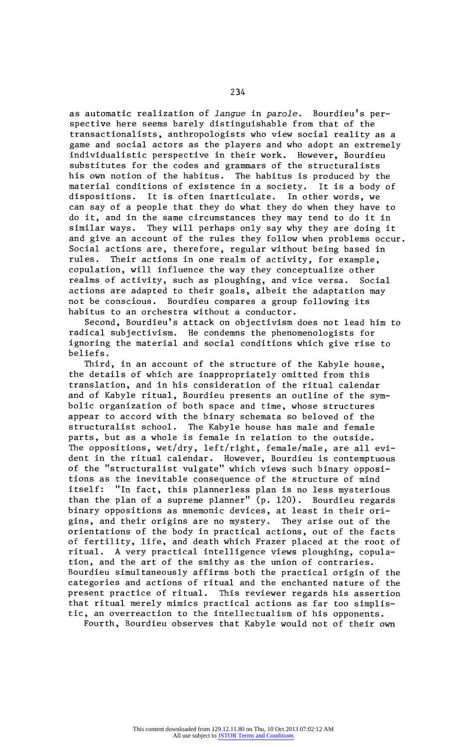as automatic realization of *langue* in parole. Bourdieu's per**spective here seems barely distinguishable from that of the transactionalists, anthropologists who view social reality as a game and social actors as the players and who adopt an extremely individualistic perspective in their work. However, Bourdieu substitutes for the codes and grammars of the structuralists his own notion of the habitus. The habitus is produced by the material conditions of existence in a society. It is a body of dispositions. It is often inarticulate. In other words, we can say of a people that they do what they do when they have to do it, and in the same circumstances they may tend to do it in similar ways. They will perhaps only say why they are doing it and give an account of the rules they follow when problems occur. Social actions are, therefore, regular without being based in**  Their actions in one realm of activity, for example, **copulation, will influence the way they conceptualize other realms of activity, such as ploughing, and vice versa. Social actions are adapted to their goals, albeit the adaptation may**  Bourdieu compares a group following its **habitus to an orchestra without a conductor.** 

**Second, Bourdieu's attack on objectivism does not lead him to radical subjectivism. He condemns the phenomenologists for ignoring the material and social conditions which give rise to beliefs.** 

**Third, in an account of the structure of the Kabyle house, the details of which are inappropriately omitted from this translation, and in his consideration of the ritual calendar and of Kabyle ritual, Bourdieu presents an outline of the sym? bolic organization of both space and time, whose structures appear to accord with the binary schemata so beloved of the structuralist school. The Kabyle house has male and female parts, but as a whole is female in relation to the outside.**  The oppositions, wet/dry, left/right, female/male, are all evi**dent in the ritual calendar. However, Bourdieu is contemptuous of the "structuralist vulgate" which views such binary opposi? tions as the inevitable consequence of the structure of mind**  "In fact, this plannerless plan is no less mysterious **than the plan of a supreme planner" (p. 120). Bourdieu regards**  binary oppositions as mnemonic devices, at least in their ori**gins, and their origins are no mystery. They arise out of the orientations of the body in practical actions, out of the facts of fertility, life, and death which Frazer placed at the root of ritual. A very practical intelligence views ploughing, copula? tion, and the art of the smithy as the union of contraries. Bourdieu simultaneously affirms both the practical origin of the categories and actions of ritual and the enchanted nature of the present practice of ritual. This reviewer regards his assertion that ritual merely mimics practical actions as far too simplistic, an overreaction to the intellectualism of his opponents. Fourth, Bourdieu observes that Kabyle would not of their own**